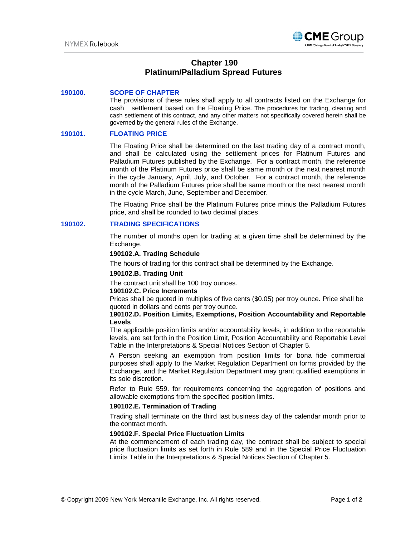

# **Chapter 190 Platinum/Palladium Spread Futures**

## **190100. SCOPE OF CHAPTER**

The provisions of these rules shall apply to all contracts listed on the Exchange for cash settlement based on the Floating Price. The procedures for trading, clearing and cash settlement of this contract, and any other matters not specifically covered herein shall be governed by the general rules of the Exchange.

## **190101. FLOATING PRICE**

The Floating Price shall be determined on the last trading day of a contract month, and shall be calculated using the settlement prices for Platinum Futures and Palladium Futures published by the Exchange. For a contract month, the reference month of the Platinum Futures price shall be same month or the next nearest month in the cycle January, April, July, and October. For a contract month, the reference month of the Palladium Futures price shall be same month or the next nearest month in the cycle March, June, September and December.

The Floating Price shall be the Platinum Futures price minus the Palladium Futures price, and shall be rounded to two decimal places.

### **190102. TRADING SPECIFICATIONS**

The number of months open for trading at a given time shall be determined by the Exchange.

### **190102.A. Trading Schedule**

The hours of trading for this contract shall be determined by the Exchange.

### **190102.B. Trading Unit**

The contract unit shall be 100 troy ounces.

# **190102.C. Price Increments**

Prices shall be quoted in multiples of five cents (\$0.05) per troy ounce. Price shall be quoted in dollars and cents per troy ounce.

## **190102.D. Position Limits, Exemptions, Position Accountability and Reportable Levels**

The applicable position limits and/or accountability levels, in addition to the reportable levels, are set forth in the Position Limit, Position Accountability and Reportable Level Table in the Interpretations & Special Notices Section of Chapter 5.

A Person seeking an exemption from position limits for bona fide commercial purposes shall apply to the Market Regulation Department on forms provided by the Exchange, and the Market Regulation Department may grant qualified exemptions in its sole discretion.

Refer to Rule 559. for requirements concerning the aggregation of positions and allowable exemptions from the specified position limits.

## **190102.E. Termination of Trading**

Trading shall terminate on the third last business day of the calendar month prior to the contract month.

### **190102.F. Special Price Fluctuation Limits**

At the commencement of each trading day, the contract shall be subject to special price fluctuation limits as set forth in Rule 589 and in the Special Price Fluctuation Limits Table in the Interpretations & Special Notices Section of Chapter 5.